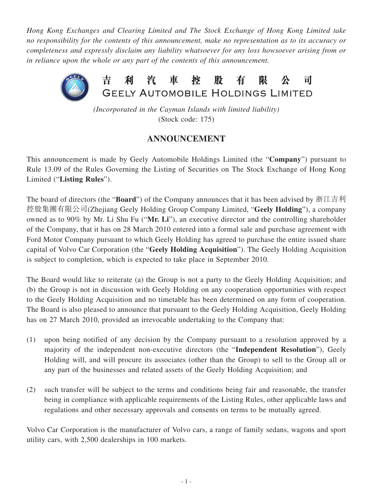*Hong Kong Exchanges and Clearing Limited and The Stock Exchange of Hong Kong Limited take no responsibility for the contents of this announcement, make no representation as to its accuracy or completeness and expressly disclaim any liability whatsoever for any loss howsoever arising from or in reliance upon the whole or any part of the contents of this announcement.*



*(Incorporated in the Cayman Islands with limited liability)* (Stock code: 175)

## **ANNOUNCEMENT**

This announcement is made by Geely Automobile Holdings Limited (the "**Company**") pursuant to Rule 13.09 of the Rules Governing the Listing of Securities on The Stock Exchange of Hong Kong Limited ("**Listing Rules**").

The board of directors (the "**Board**") of the Company announces that it has been advised by 浙江吉利 控股集團有限公司(Zhejiang Geely Holding Group Company Limited, "**Geely Holding**"), a company owned as to 90% by Mr. Li Shu Fu ("**Mr. Li**"), an executive director and the controlling shareholder of the Company, that it has on 28 March 2010 entered into a formal sale and purchase agreement with Ford Motor Company pursuant to which Geely Holding has agreed to purchase the entire issued share capital of Volvo Car Corporation (the "**Geely Holding Acquisition**"). The Geely Holding Acquisition is subject to completion, which is expected to take place in September 2010.

The Board would like to reiterate (a) the Group is not a party to the Geely Holding Acquisition; and (b) the Group is not in discussion with Geely Holding on any cooperation opportunities with respect to the Geely Holding Acquisition and no timetable has been determined on any form of cooperation. The Board is also pleased to announce that pursuant to the Geely Holding Acquisition, Geely Holding has on 27 March 2010, provided an irrevocable undertaking to the Company that:

- (1) upon being notified of any decision by the Company pursuant to a resolution approved by a majority of the independent non-executive directors (the "**Independent Resolution**"), Geely Holding will, and will procure its associates (other than the Group) to sell to the Group all or any part of the businesses and related assets of the Geely Holding Acquisition; and
- (2) such transfer will be subject to the terms and conditions being fair and reasonable, the transfer being in compliance with applicable requirements of the Listing Rules, other applicable laws and regulations and other necessary approvals and consents on terms to be mutually agreed.

Volvo Car Corporation is the manufacturer of Volvo cars, a range of family sedans, wagons and sport utility cars, with 2,500 dealerships in 100 markets.